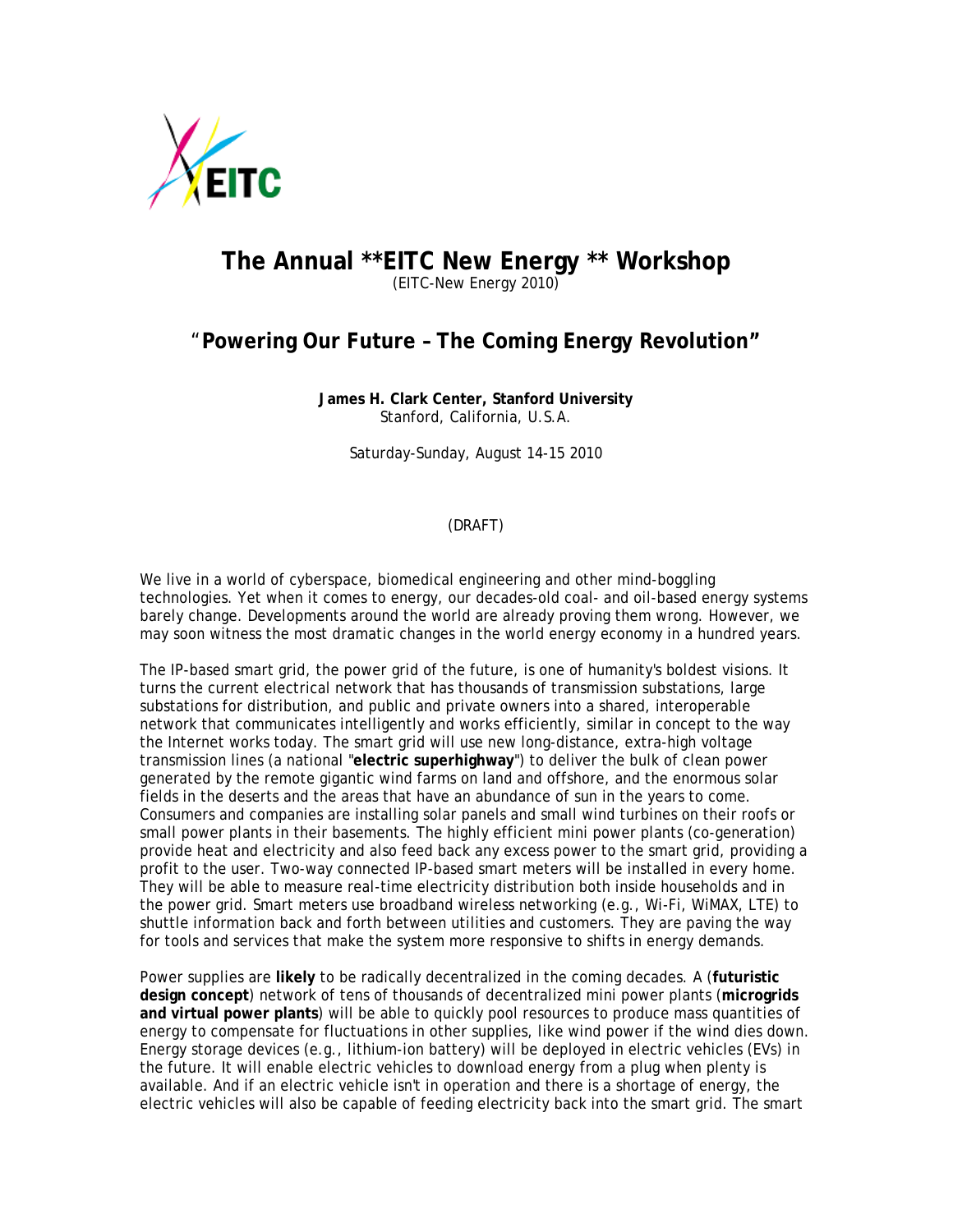

## **The Annual \*\*EITC New Energy \*\* Workshop**  (EITC-New Energy 2010)

## "**Powering Our Future – The Coming Energy Revolution"**

**James H. Clark Center, Stanford University**  Stanford, California, U.S.A.

Saturday-Sunday, August 14-15 2010

## (DRAFT)

We live in a world of cyberspace, biomedical engineering and other mind-boggling technologies. Yet when it comes to energy, our decades-old coal- and oil-based energy systems barely change. Developments around the world are already proving them wrong. However, we may soon witness the most dramatic changes in the world energy economy in a hundred years.

The IP-based smart grid, the power grid of the future, is one of humanity's boldest visions. It turns the current electrical network that has thousands of transmission substations, large substations for distribution, and public and private owners into a shared, interoperable network that communicates intelligently and works efficiently, similar in concept to the way the Internet works today. The smart grid will use new long-distance, extra-high voltage transmission lines (a national "**electric superhighway**") to deliver the bulk of clean power generated by the remote gigantic wind farms on land and offshore, and the enormous solar fields in the deserts and the areas that have an abundance of sun in the years to come. Consumers and companies are installing solar panels and small wind turbines on their roofs or small power plants in their basements. The highly efficient mini power plants (co-generation) provide heat and electricity and also feed back any excess power to the smart grid, providing a profit to the user. Two-way connected IP-based smart meters will be installed in every home. They will be able to measure real-time electricity distribution both inside households and in the power grid. Smart meters use broadband wireless networking (e.g., Wi-Fi, WiMAX, LTE) to shuttle information back and forth between utilities and customers. They are paving the way for tools and services that make the system more responsive to shifts in energy demands.

Power supplies are **likely** to be radically decentralized in the coming decades. A (**futuristic design concept**) network of tens of thousands of decentralized mini power plants (**microgrids and virtual power plants**) will be able to quickly pool resources to produce mass quantities of energy to compensate for fluctuations in other supplies, like wind power if the wind dies down. Energy storage devices (e.g., lithium-ion battery) will be deployed in electric vehicles (EVs) in the future. It will enable electric vehicles to download energy from a plug when plenty is available. And if an electric vehicle isn't in operation and there is a shortage of energy, the electric vehicles will also be capable of feeding electricity back into the smart grid. The smart